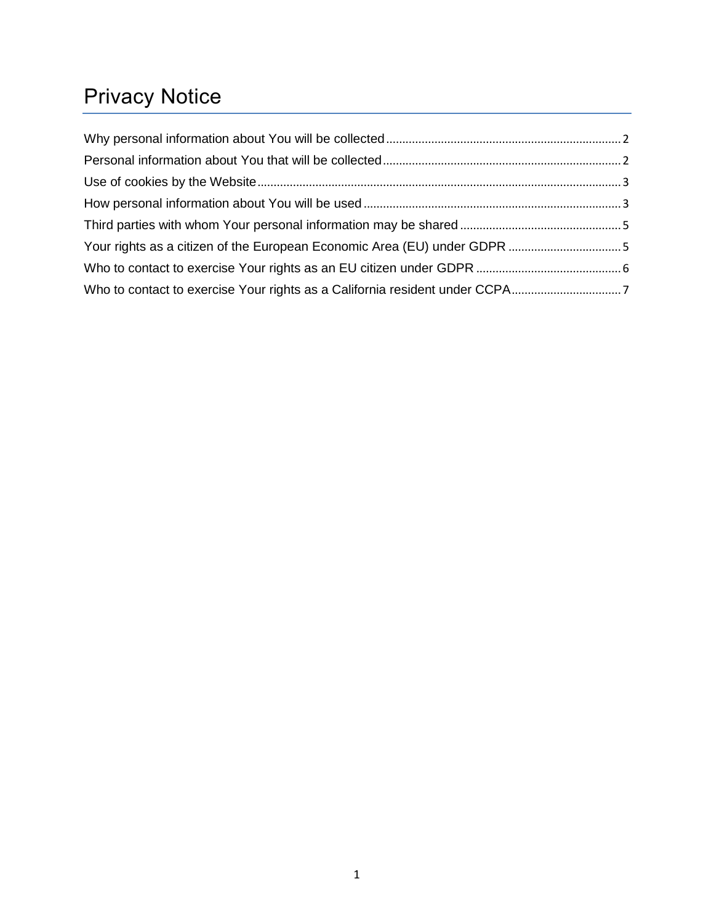# Privacy Notice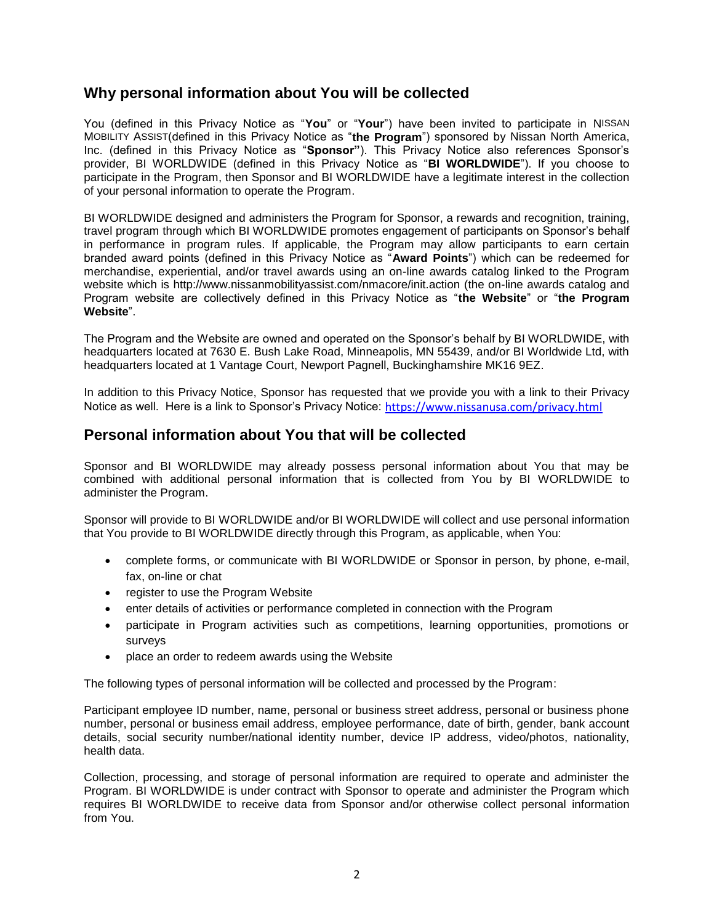#### <span id="page-1-0"></span>**Why personal information about You will be collected**

You (defined in this Privacy Notice as "**You**" or "**Your**") have been invited to participate in NISSAN MOBILITY ASSIST(defined in this Privacy Notice as "**the Program**") sponsored by Nissan North America, Inc. (defined in this Privacy Notice as "**Sponsor"**). This Privacy Notice also references Sponsor's provider, BI WORLDWIDE (defined in this Privacy Notice as "**BI WORLDWIDE**"). If you choose to participate in the Program, then Sponsor and BI WORLDWIDE have a legitimate interest in the collection of your personal information to operate the Program.

BI WORLDWIDE designed and administers the Program for Sponsor, a rewards and recognition, training, travel program through which BI WORLDWIDE promotes engagement of participants on Sponsor's behalf in performance in program rules. If applicable, the Program may allow participants to earn certain branded award points (defined in this Privacy Notice as "**Award Points**") which can be redeemed for merchandise, experiential, and/or travel awards using an on-line awards catalog linked to the Program website which is http://www.nissanmobilityassist.com/nmacore/init.action (the on-line awards catalog and Program website are collectively defined in this Privacy Notice as "**the Website**" or "**the Program Website**".

The Program and the Website are owned and operated on the Sponsor's behalf by BI WORLDWIDE, with headquarters located at 7630 E. Bush Lake Road, Minneapolis, MN 55439, and/or BI Worldwide Ltd, with headquarters located at 1 Vantage Court, Newport Pagnell, Buckinghamshire MK16 9EZ.

In addition to this Privacy Notice, Sponsor has requested that we provide you with a link to their Privacy Notice as well. Here is a link to Sponsor's Privacy Notice: <https://www.nissanusa.com/privacy.html>

#### <span id="page-1-1"></span>**Personal information about You that will be collected**

Sponsor and BI WORLDWIDE may already possess personal information about You that may be combined with additional personal information that is collected from You by BI WORLDWIDE to administer the Program.

Sponsor will provide to BI WORLDWIDE and/or BI WORLDWIDE will collect and use personal information that You provide to BI WORLDWIDE directly through this Program, as applicable, when You:

- complete forms, or communicate with BI WORLDWIDE or Sponsor in person, by phone, e-mail, fax, on-line or chat
- register to use the Program Website
- enter details of activities or performance completed in connection with the Program
- participate in Program activities such as competitions, learning opportunities, promotions or surveys
- place an order to redeem awards using the Website

The following types of personal information will be collected and processed by the Program:

Participant employee ID number, name, personal or business street address, personal or business phone number, personal or business email address, employee performance, date of birth, gender, bank account details, social security number/national identity number, device IP address, video/photos, nationality, health data.

Collection, processing, and storage of personal information are required to operate and administer the Program. BI WORLDWIDE is under contract with Sponsor to operate and administer the Program which requires BI WORLDWIDE to receive data from Sponsor and/or otherwise collect personal information from You.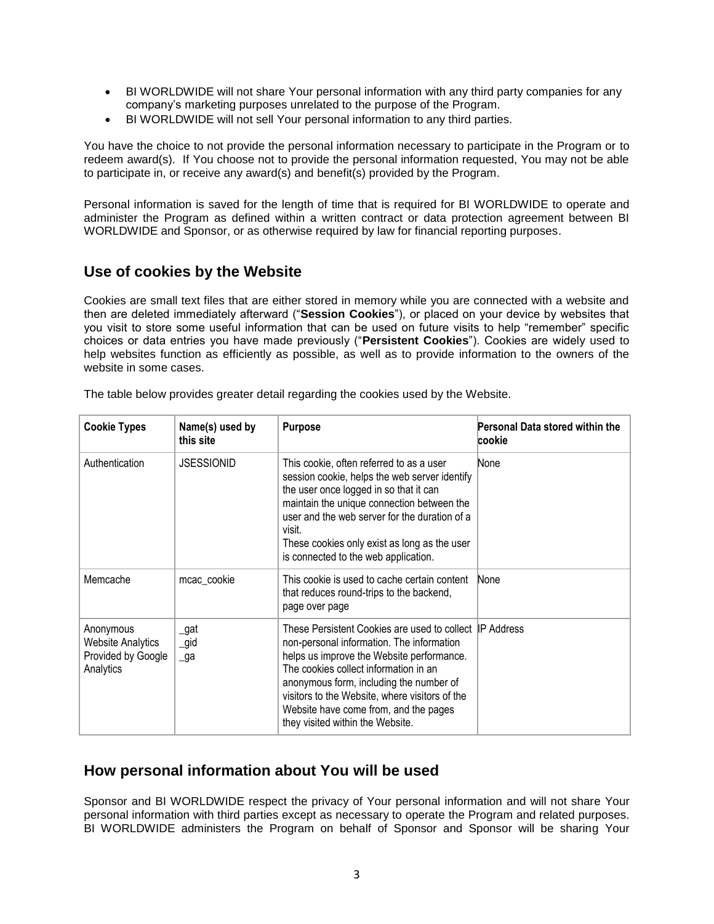- BI WORLDWIDE will not share Your personal information with any third party companies for any company's marketing purposes unrelated to the purpose of the Program.
- BI WORLDWIDE will not sell Your personal information to any third parties.

You have the choice to not provide the personal information necessary to participate in the Program or to redeem award(s). If You choose not to provide the personal information requested, You may not be able to participate in, or receive any award(s) and benefit(s) provided by the Program.

Personal information is saved for the length of time that is required for BI WORLDWIDE to operate and administer the Program as defined within a written contract or data protection agreement between BI WORLDWIDE and Sponsor, or as otherwise required by law for financial reporting purposes.

#### <span id="page-2-0"></span>**Use of cookies by the Website**

Cookies are small text files that are either stored in memory while you are connected with a website and then are deleted immediately afterward ("**Session Cookies**"), or placed on your device by websites that you visit to store some useful information that can be used on future visits to help "remember" specific choices or data entries you have made previously ("**Persistent Cookies**"). Cookies are widely used to help websites function as efficiently as possible, as well as to provide information to the owners of the website in some cases.

| <b>Cookie Types</b>                                                      | Name(s) used by<br>this site | <b>Purpose</b>                                                                                                                                                                                                                                                                                                                                                       | Personal Data stored within the<br>cookie |
|--------------------------------------------------------------------------|------------------------------|----------------------------------------------------------------------------------------------------------------------------------------------------------------------------------------------------------------------------------------------------------------------------------------------------------------------------------------------------------------------|-------------------------------------------|
| Authentication                                                           | <b>JSESSIONID</b>            | This cookie, often referred to as a user<br>session cookie, helps the web server identify<br>the user once logged in so that it can<br>maintain the unique connection between the<br>user and the web server for the duration of a<br>visit.<br>These cookies only exist as long as the user<br>is connected to the web application.                                 | None                                      |
| Memcache                                                                 | mcac cookie                  | This cookie is used to cache certain content<br>that reduces round-trips to the backend,<br>page over page                                                                                                                                                                                                                                                           | None                                      |
| Anonymous<br><b>Website Analytics</b><br>Provided by Google<br>Analytics | _gat<br>$\_gid$<br>_ga       | These Persistent Cookies are used to collect IP Address<br>non-personal information. The information<br>helps us improve the Website performance.<br>The cookies collect information in an<br>anonymous form, including the number of<br>visitors to the Website, where visitors of the<br>Website have come from, and the pages<br>they visited within the Website. |                                           |

The table below provides greater detail regarding the cookies used by the Website.

## <span id="page-2-1"></span>**How personal information about You will be used**

Sponsor and BI WORLDWIDE respect the privacy of Your personal information and will not share Your personal information with third parties except as necessary to operate the Program and related purposes. BI WORLDWIDE administers the Program on behalf of Sponsor and Sponsor will be sharing Your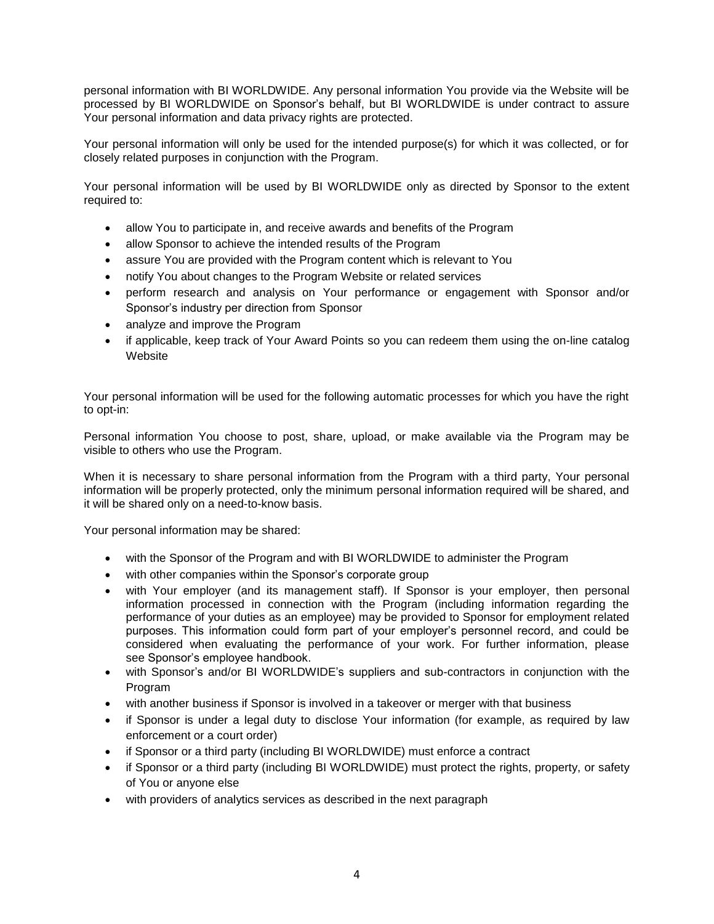personal information with BI WORLDWIDE. Any personal information You provide via the Website will be processed by BI WORLDWIDE on Sponsor's behalf, but BI WORLDWIDE is under contract to assure Your personal information and data privacy rights are protected.

Your personal information will only be used for the intended purpose(s) for which it was collected, or for closely related purposes in conjunction with the Program.

Your personal information will be used by BI WORLDWIDE only as directed by Sponsor to the extent required to:

- allow You to participate in, and receive awards and benefits of the Program
- allow Sponsor to achieve the intended results of the Program
- assure You are provided with the Program content which is relevant to You
- notify You about changes to the Program Website or related services
- perform research and analysis on Your performance or engagement with Sponsor and/or Sponsor's industry per direction from Sponsor
- analyze and improve the Program
- if applicable, keep track of Your Award Points so you can redeem them using the on-line catalog Website

Your personal information will be used for the following automatic processes for which you have the right to opt-in:

Personal information You choose to post, share, upload, or make available via the Program may be visible to others who use the Program.

When it is necessary to share personal information from the Program with a third party, Your personal information will be properly protected, only the minimum personal information required will be shared, and it will be shared only on a need-to-know basis.

Your personal information may be shared:

- with the Sponsor of the Program and with BI WORLDWIDE to administer the Program
- with other companies within the Sponsor's corporate group
- with Your employer (and its management staff). If Sponsor is your employer, then personal information processed in connection with the Program (including information regarding the performance of your duties as an employee) may be provided to Sponsor for employment related purposes. This information could form part of your employer's personnel record, and could be considered when evaluating the performance of your work. For further information, please see Sponsor's employee handbook.
- with Sponsor's and/or BI WORLDWIDE's suppliers and sub-contractors in conjunction with the Program
- with another business if Sponsor is involved in a takeover or merger with that business
- if Sponsor is under a legal duty to disclose Your information (for example, as required by law enforcement or a court order)
- if Sponsor or a third party (including BI WORLDWIDE) must enforce a contract
- if Sponsor or a third party (including BI WORLDWIDE) must protect the rights, property, or safety of You or anyone else
- with providers of analytics services as described in the next paragraph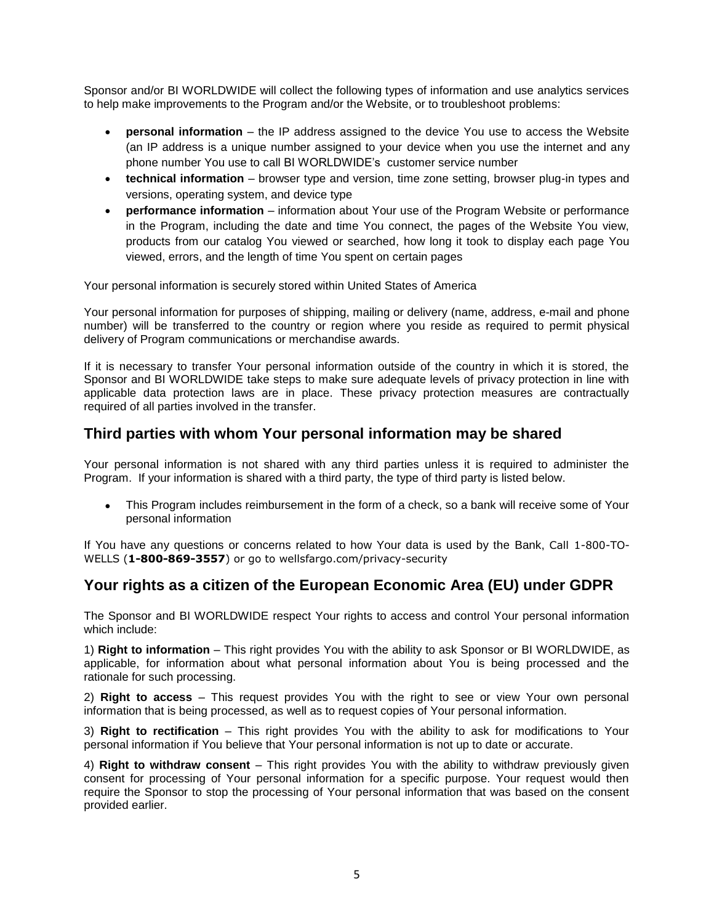Sponsor and/or BI WORLDWIDE will collect the following types of information and use analytics services to help make improvements to the Program and/or the Website, or to troubleshoot problems:

- **personal information** the IP address assigned to the device You use to access the Website (an IP address is a unique number assigned to your device when you use the internet and any phone number You use to call BI WORLDWIDE's customer service number
- **technical information** browser type and version, time zone setting, browser plug-in types and versions, operating system, and device type
- **performance information** information about Your use of the Program Website or performance in the Program, including the date and time You connect, the pages of the Website You view, products from our catalog You viewed or searched, how long it took to display each page You viewed, errors, and the length of time You spent on certain pages

Your personal information is securely stored within United States of America

Your personal information for purposes of shipping, mailing or delivery (name, address, e-mail and phone number) will be transferred to the country or region where you reside as required to permit physical delivery of Program communications or merchandise awards.

If it is necessary to transfer Your personal information outside of the country in which it is stored, the Sponsor and BI WORLDWIDE take steps to make sure adequate levels of privacy protection in line with applicable data protection laws are in place. These privacy protection measures are contractually required of all parties involved in the transfer.

#### <span id="page-4-0"></span>**Third parties with whom Your personal information may be shared**

Your personal information is not shared with any third parties unless it is required to administer the Program. If your information is shared with a third party, the type of third party is listed below.

 This Program includes reimbursement in the form of a check, so a bank will receive some of Your personal information

If You have any questions or concerns related to how Your data is used by the Bank, Call 1-800-TO-WELLS (**1-800-869-3557**) or go to wellsfargo.com/privacy-security

## <span id="page-4-1"></span>**Your rights as a citizen of the European Economic Area (EU) under GDPR**

The Sponsor and BI WORLDWIDE respect Your rights to access and control Your personal information which include:

1) **Right to information** – This right provides You with the ability to ask Sponsor or BI WORLDWIDE, as applicable, for information about what personal information about You is being processed and the rationale for such processing.

2) **Right to access** – This request provides You with the right to see or view Your own personal information that is being processed, as well as to request copies of Your personal information.

3) **Right to rectification** – This right provides You with the ability to ask for modifications to Your personal information if You believe that Your personal information is not up to date or accurate.

4) **Right to withdraw consent** – This right provides You with the ability to withdraw previously given consent for processing of Your personal information for a specific purpose. Your request would then require the Sponsor to stop the processing of Your personal information that was based on the consent provided earlier.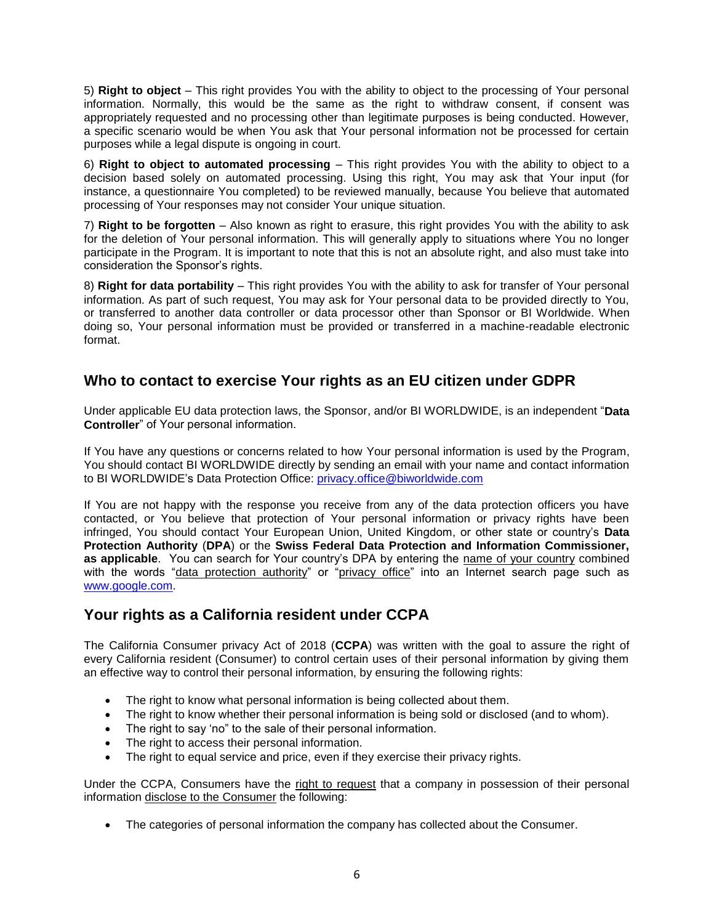5) **Right to object** – This right provides You with the ability to object to the processing of Your personal information. Normally, this would be the same as the right to withdraw consent, if consent was appropriately requested and no processing other than legitimate purposes is being conducted. However, a specific scenario would be when You ask that Your personal information not be processed for certain purposes while a legal dispute is ongoing in court.

6) **Right to object to automated processing** – This right provides You with the ability to object to a decision based solely on automated processing. Using this right, You may ask that Your input (for instance, a questionnaire You completed) to be reviewed manually, because You believe that automated processing of Your responses may not consider Your unique situation.

7) **Right to be forgotten** – Also known as right to erasure, this right provides You with the ability to ask for the deletion of Your personal information. This will generally apply to situations where You no longer participate in the Program. It is important to note that this is not an absolute right, and also must take into consideration the Sponsor's rights.

8) **Right for data portability** – This right provides You with the ability to ask for transfer of Your personal information. As part of such request, You may ask for Your personal data to be provided directly to You, or transferred to another data controller or data processor other than Sponsor or BI Worldwide. When doing so, Your personal information must be provided or transferred in a machine-readable electronic format.

# <span id="page-5-0"></span>**Who to contact to exercise Your rights as an EU citizen under GDPR**

Under applicable EU data protection laws, the Sponsor, and/or BI WORLDWIDE, is an independent "**Data Controller**" of Your personal information.

If You have any questions or concerns related to how Your personal information is used by the Program, You should contact BI WORLDWIDE directly by sending an email with your name and contact information to BI WORLDWIDE's Data Protection Office: [privacy.office@biworldwide.com](mailto:dpo.us@biworldwide.com)

If You are not happy with the response you receive from any of the data protection officers you have contacted, or You believe that protection of Your personal information or privacy rights have been infringed, You should contact Your European Union, United Kingdom, or other state or country's **Data Protection Authority** (**DPA**) or the **Swiss Federal Data Protection and Information Commissioner, as applicable**. You can search for Your country's DPA by entering the name of your country combined with the words "data protection authority" or "privacy office" into an Internet search page such as [www.google.com.](http://www.google.com/)

# **Your rights as a California resident under CCPA**

The California Consumer privacy Act of 2018 (**CCPA**) was written with the goal to assure the right of every California resident (Consumer) to control certain uses of their personal information by giving them an effective way to control their personal information, by ensuring the following rights:

- The right to know what personal information is being collected about them.
- The right to know whether their personal information is being sold or disclosed (and to whom).
- The right to say 'no" to the sale of their personal information.
- The right to access their personal information.
- The right to equal service and price, even if they exercise their privacy rights.

Under the CCPA, Consumers have the right to request that a company in possession of their personal information disclose to the Consumer the following:

The categories of personal information the company has collected about the Consumer.